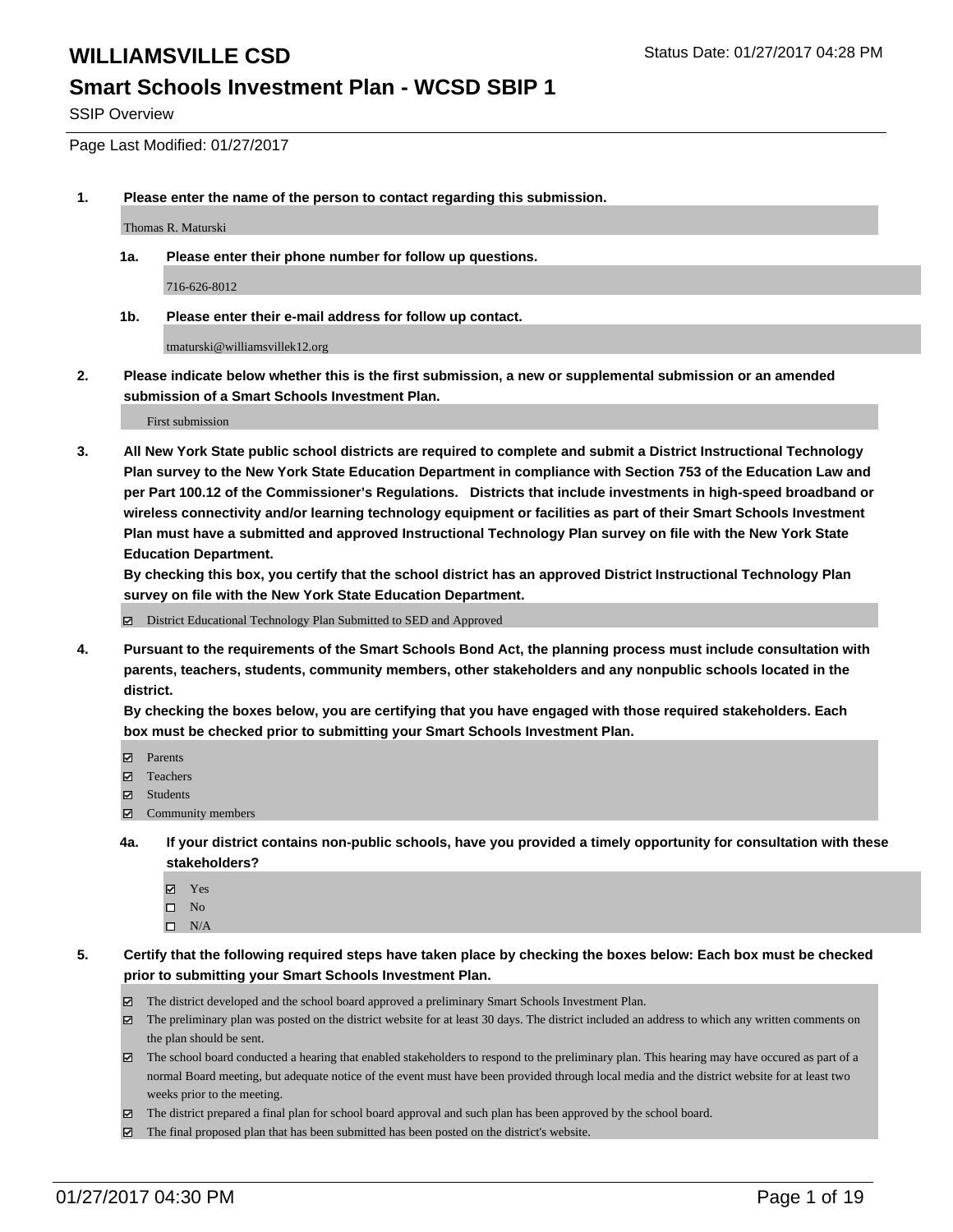## **Smart Schools Investment Plan - WCSD SBIP 1**

SSIP Overview

Page Last Modified: 01/27/2017

**1. Please enter the name of the person to contact regarding this submission.**

Thomas R. Maturski

**1a. Please enter their phone number for follow up questions.**

716-626-8012

**1b. Please enter their e-mail address for follow up contact.**

tmaturski@williamsvillek12.org

**2. Please indicate below whether this is the first submission, a new or supplemental submission or an amended submission of a Smart Schools Investment Plan.**

First submission

**3. All New York State public school districts are required to complete and submit a District Instructional Technology Plan survey to the New York State Education Department in compliance with Section 753 of the Education Law and per Part 100.12 of the Commissioner's Regulations. Districts that include investments in high-speed broadband or wireless connectivity and/or learning technology equipment or facilities as part of their Smart Schools Investment Plan must have a submitted and approved Instructional Technology Plan survey on file with the New York State Education Department.** 

**By checking this box, you certify that the school district has an approved District Instructional Technology Plan survey on file with the New York State Education Department.**

District Educational Technology Plan Submitted to SED and Approved

**4. Pursuant to the requirements of the Smart Schools Bond Act, the planning process must include consultation with parents, teachers, students, community members, other stakeholders and any nonpublic schools located in the district.** 

**By checking the boxes below, you are certifying that you have engaged with those required stakeholders. Each box must be checked prior to submitting your Smart Schools Investment Plan.**

- **Parents**
- Teachers
- **冈** Students
- Community members
- **4a. If your district contains non-public schools, have you provided a timely opportunity for consultation with these stakeholders?**
	- Yes
	- $\square$  No
	- $\square$  N/A
- **5. Certify that the following required steps have taken place by checking the boxes below: Each box must be checked prior to submitting your Smart Schools Investment Plan.**
	- The district developed and the school board approved a preliminary Smart Schools Investment Plan.
	- The preliminary plan was posted on the district website for at least 30 days. The district included an address to which any written comments on the plan should be sent.
	- The school board conducted a hearing that enabled stakeholders to respond to the preliminary plan. This hearing may have occured as part of a normal Board meeting, but adequate notice of the event must have been provided through local media and the district website for at least two weeks prior to the meeting.
	- The district prepared a final plan for school board approval and such plan has been approved by the school board.
	- $\boxtimes$  The final proposed plan that has been submitted has been posted on the district's website.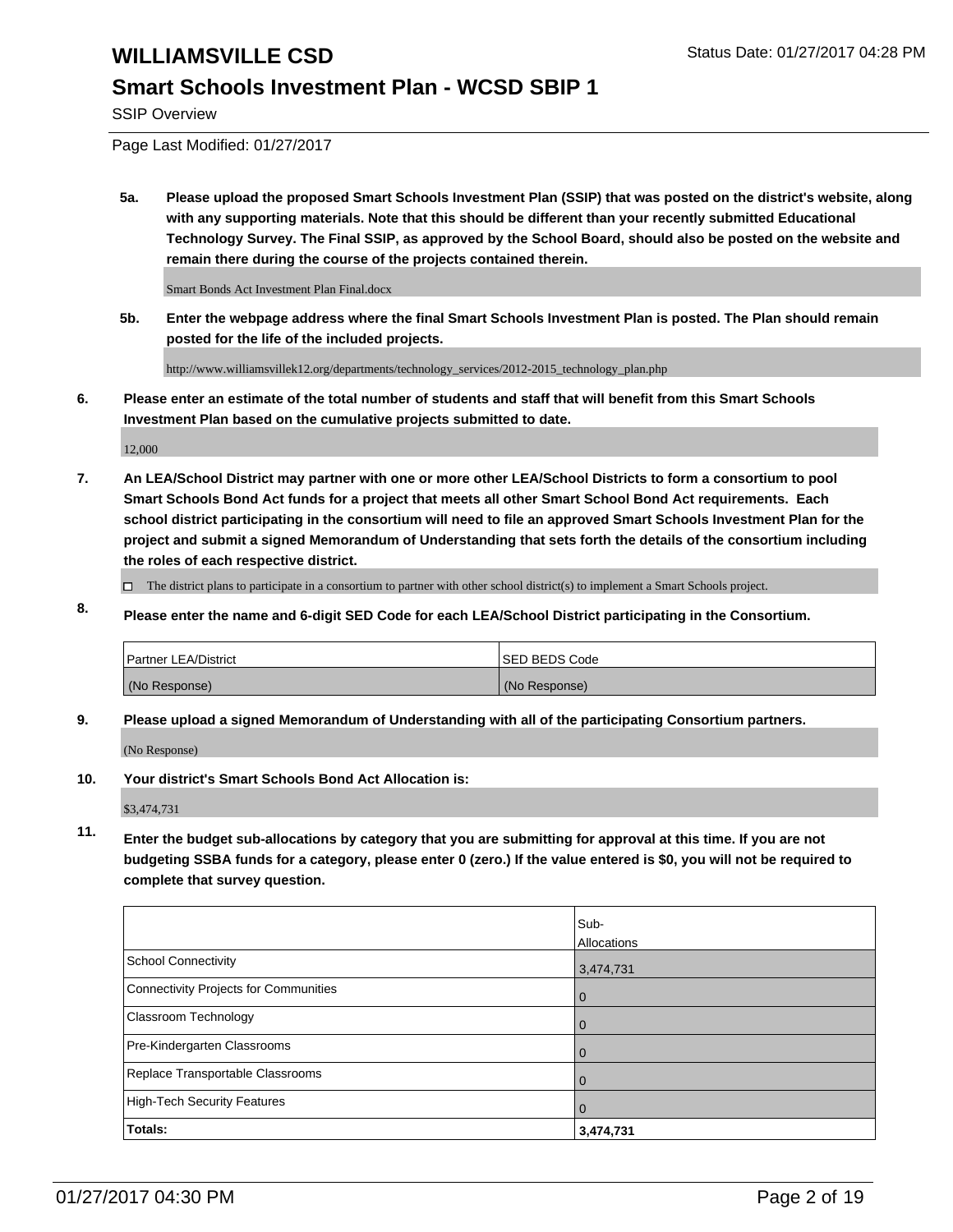### **Smart Schools Investment Plan - WCSD SBIP 1**

SSIP Overview

Page Last Modified: 01/27/2017

**5a. Please upload the proposed Smart Schools Investment Plan (SSIP) that was posted on the district's website, along with any supporting materials. Note that this should be different than your recently submitted Educational Technology Survey. The Final SSIP, as approved by the School Board, should also be posted on the website and remain there during the course of the projects contained therein.**

Smart Bonds Act Investment Plan Final.docx

**5b. Enter the webpage address where the final Smart Schools Investment Plan is posted. The Plan should remain posted for the life of the included projects.**

http://www.williamsvillek12.org/departments/technology\_services/2012-2015\_technology\_plan.php

**6. Please enter an estimate of the total number of students and staff that will benefit from this Smart Schools Investment Plan based on the cumulative projects submitted to date.**

12,000

- **7. An LEA/School District may partner with one or more other LEA/School Districts to form a consortium to pool Smart Schools Bond Act funds for a project that meets all other Smart School Bond Act requirements. Each school district participating in the consortium will need to file an approved Smart Schools Investment Plan for the project and submit a signed Memorandum of Understanding that sets forth the details of the consortium including the roles of each respective district.**
	- $\Box$  The district plans to participate in a consortium to partner with other school district(s) to implement a Smart Schools project.
- **8. Please enter the name and 6-digit SED Code for each LEA/School District participating in the Consortium.**

| <b>Partner LEA/District</b> | <b>ISED BEDS Code</b> |
|-----------------------------|-----------------------|
| (No Response)               | (No Response)         |

**9. Please upload a signed Memorandum of Understanding with all of the participating Consortium partners.**

(No Response)

**10. Your district's Smart Schools Bond Act Allocation is:**

\$3,474,731

**11. Enter the budget sub-allocations by category that you are submitting for approval at this time. If you are not budgeting SSBA funds for a category, please enter 0 (zero.) If the value entered is \$0, you will not be required to complete that survey question.**

|                                       | Sub-        |
|---------------------------------------|-------------|
|                                       | Allocations |
| School Connectivity                   | 3,474,731   |
| Connectivity Projects for Communities | O           |
| <b>Classroom Technology</b>           |             |
| Pre-Kindergarten Classrooms           |             |
| Replace Transportable Classrooms      |             |
| High-Tech Security Features           |             |
| Totals:                               | 3,474,731   |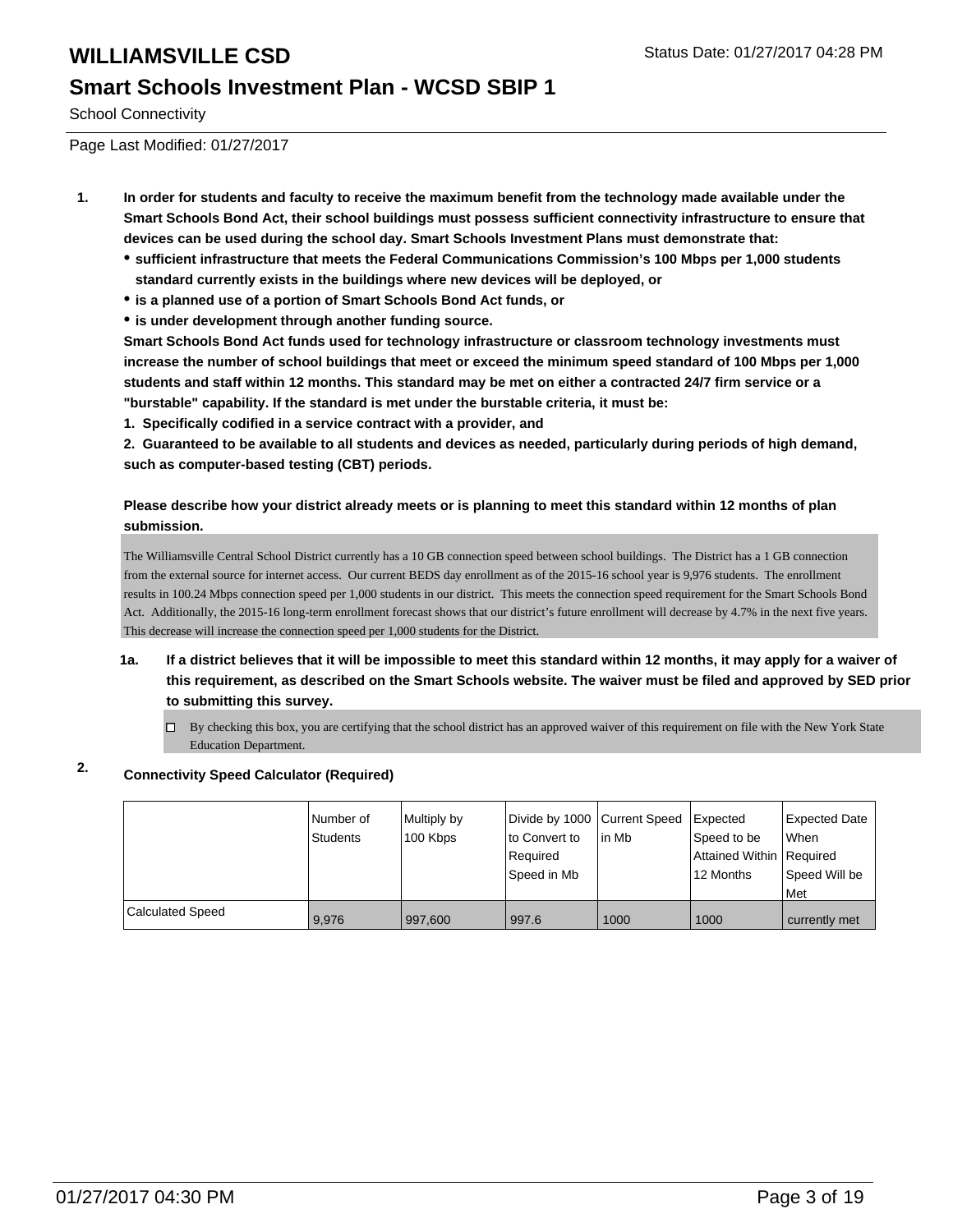## **Smart Schools Investment Plan - WCSD SBIP 1**

School Connectivity

Page Last Modified: 01/27/2017

- **1. In order for students and faculty to receive the maximum benefit from the technology made available under the Smart Schools Bond Act, their school buildings must possess sufficient connectivity infrastructure to ensure that devices can be used during the school day. Smart Schools Investment Plans must demonstrate that:**
	- **sufficient infrastructure that meets the Federal Communications Commission's 100 Mbps per 1,000 students standard currently exists in the buildings where new devices will be deployed, or**
	- **is a planned use of a portion of Smart Schools Bond Act funds, or**
	- **is under development through another funding source.**

**Smart Schools Bond Act funds used for technology infrastructure or classroom technology investments must increase the number of school buildings that meet or exceed the minimum speed standard of 100 Mbps per 1,000 students and staff within 12 months. This standard may be met on either a contracted 24/7 firm service or a "burstable" capability. If the standard is met under the burstable criteria, it must be:**

**1. Specifically codified in a service contract with a provider, and**

**2. Guaranteed to be available to all students and devices as needed, particularly during periods of high demand, such as computer-based testing (CBT) periods.**

#### **Please describe how your district already meets or is planning to meet this standard within 12 months of plan submission.**

The Williamsville Central School District currently has a 10 GB connection speed between school buildings. The District has a 1 GB connection from the external source for internet access. Our current BEDS day enrollment as of the 2015-16 school year is 9,976 students. The enrollment results in 100.24 Mbps connection speed per 1,000 students in our district. This meets the connection speed requirement for the Smart Schools Bond Act. Additionally, the 2015-16 long-term enrollment forecast shows that our district's future enrollment will decrease by 4.7% in the next five years. This decrease will increase the connection speed per 1,000 students for the District.

- **1a. If a district believes that it will be impossible to meet this standard within 12 months, it may apply for a waiver of this requirement, as described on the Smart Schools website. The waiver must be filed and approved by SED prior to submitting this survey.**
	- By checking this box, you are certifying that the school district has an approved waiver of this requirement on file with the New York State Education Department.

### **2. Connectivity Speed Calculator (Required)**

|                         | Number of<br>Students | Multiply by<br>100 Kbps | Divide by 1000 Current Speed<br>to Convert to<br>Required<br>Speed in Mb | in Mb | Expected<br>Speed to be<br>Attained Within   Required<br>12 Months | <b>Expected Date</b><br><b>When</b><br>Speed Will be<br><b>Met</b> |
|-------------------------|-----------------------|-------------------------|--------------------------------------------------------------------------|-------|--------------------------------------------------------------------|--------------------------------------------------------------------|
| <b>Calculated Speed</b> | 9.976                 | 997.600                 | 997.6                                                                    | 1000  | 1000                                                               | currently met                                                      |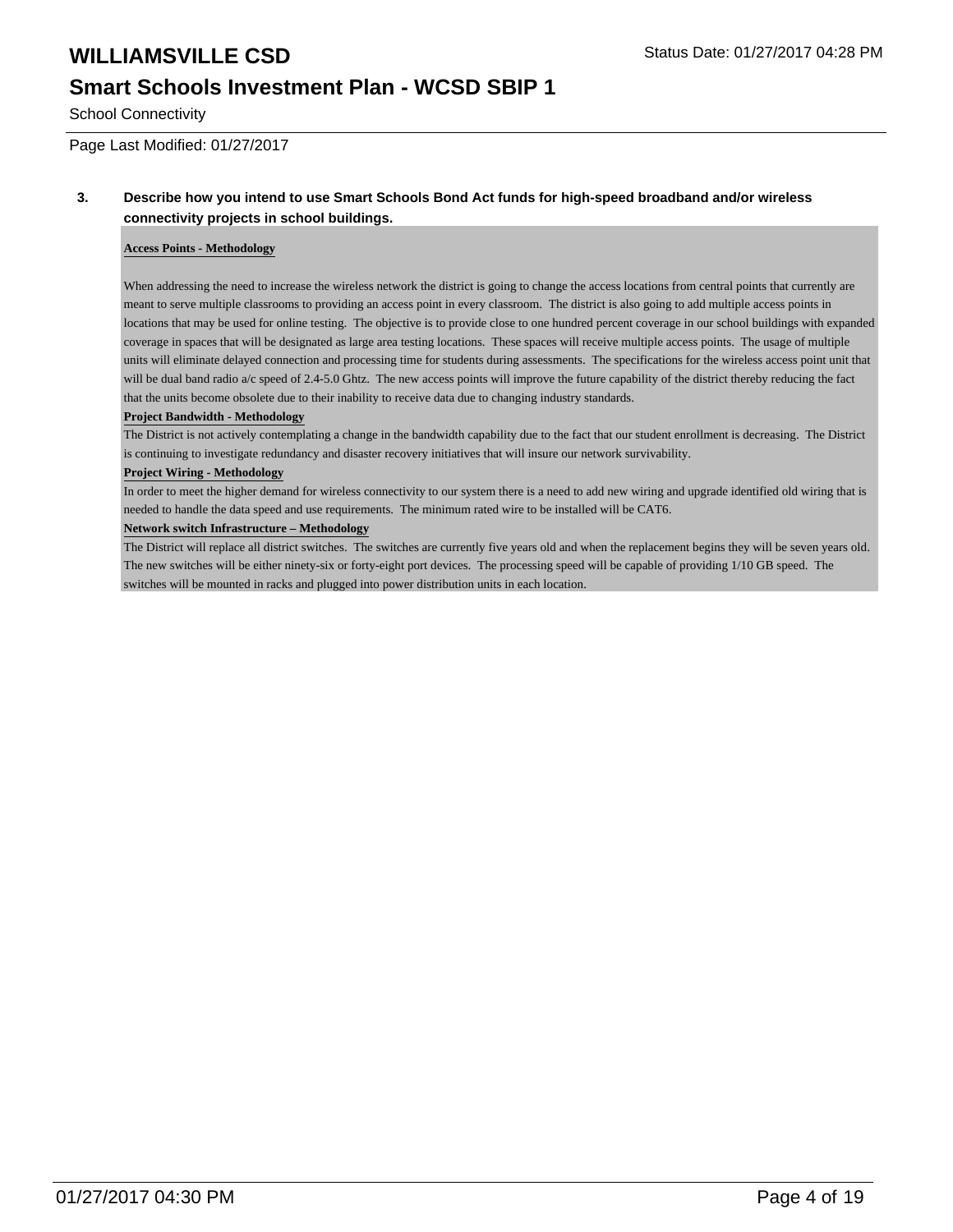## **Smart Schools Investment Plan - WCSD SBIP 1**

School Connectivity

Page Last Modified: 01/27/2017

#### **3. Describe how you intend to use Smart Schools Bond Act funds for high-speed broadband and/or wireless connectivity projects in school buildings.**

#### **Access Points - Methodology**

When addressing the need to increase the wireless network the district is going to change the access locations from central points that currently are meant to serve multiple classrooms to providing an access point in every classroom. The district is also going to add multiple access points in locations that may be used for online testing. The objective is to provide close to one hundred percent coverage in our school buildings with expanded coverage in spaces that will be designated as large area testing locations. These spaces will receive multiple access points. The usage of multiple units will eliminate delayed connection and processing time for students during assessments. The specifications for the wireless access point unit that will be dual band radio a/c speed of 2.4-5.0 Ghtz. The new access points will improve the future capability of the district thereby reducing the fact that the units become obsolete due to their inability to receive data due to changing industry standards.

#### **Project Bandwidth - Methodology**

The District is not actively contemplating a change in the bandwidth capability due to the fact that our student enrollment is decreasing. The District is continuing to investigate redundancy and disaster recovery initiatives that will insure our network survivability.

#### **Project Wiring - Methodology**

In order to meet the higher demand for wireless connectivity to our system there is a need to add new wiring and upgrade identified old wiring that is needed to handle the data speed and use requirements. The minimum rated wire to be installed will be CAT6.

#### **Network switch Infrastructure – Methodology**

The District will replace all district switches. The switches are currently five years old and when the replacement begins they will be seven years old. The new switches will be either ninety-six or forty-eight port devices. The processing speed will be capable of providing 1/10 GB speed. The switches will be mounted in racks and plugged into power distribution units in each location.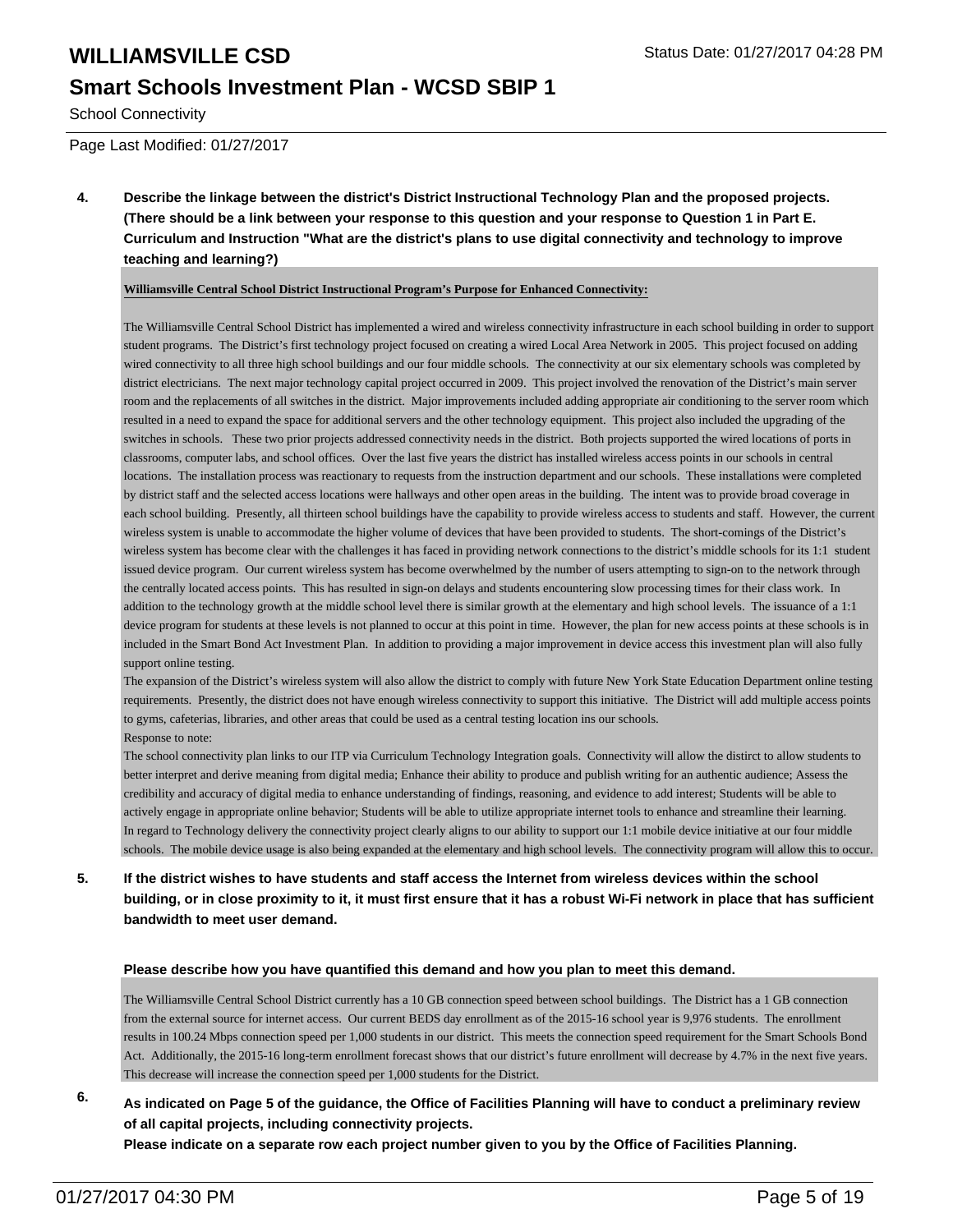# **Smart Schools Investment Plan - WCSD SBIP 1**

School Connectivity

Page Last Modified: 01/27/2017

**4. Describe the linkage between the district's District Instructional Technology Plan and the proposed projects. (There should be a link between your response to this question and your response to Question 1 in Part E. Curriculum and Instruction "What are the district's plans to use digital connectivity and technology to improve teaching and learning?)**

#### **Williamsville Central School District Instructional Program's Purpose for Enhanced Connectivity:**

The Williamsville Central School District has implemented a wired and wireless connectivity infrastructure in each school building in order to support student programs. The District's first technology project focused on creating a wired Local Area Network in 2005. This project focused on adding wired connectivity to all three high school buildings and our four middle schools. The connectivity at our six elementary schools was completed by district electricians. The next major technology capital project occurred in 2009. This project involved the renovation of the District's main server room and the replacements of all switches in the district. Major improvements included adding appropriate air conditioning to the server room which resulted in a need to expand the space for additional servers and the other technology equipment. This project also included the upgrading of the switches in schools. These two prior projects addressed connectivity needs in the district. Both projects supported the wired locations of ports in classrooms, computer labs, and school offices. Over the last five years the district has installed wireless access points in our schools in central locations. The installation process was reactionary to requests from the instruction department and our schools. These installations were completed by district staff and the selected access locations were hallways and other open areas in the building. The intent was to provide broad coverage in each school building. Presently, all thirteen school buildings have the capability to provide wireless access to students and staff. However, the current wireless system is unable to accommodate the higher volume of devices that have been provided to students. The short-comings of the District's wireless system has become clear with the challenges it has faced in providing network connections to the district's middle schools for its 1:1 student issued device program. Our current wireless system has become overwhelmed by the number of users attempting to sign-on to the network through the centrally located access points. This has resulted in sign-on delays and students encountering slow processing times for their class work. In addition to the technology growth at the middle school level there is similar growth at the elementary and high school levels. The issuance of a 1:1 device program for students at these levels is not planned to occur at this point in time. However, the plan for new access points at these schools is in included in the Smart Bond Act Investment Plan. In addition to providing a major improvement in device access this investment plan will also fully support online testing.

The expansion of the District's wireless system will also allow the district to comply with future New York State Education Department online testing requirements. Presently, the district does not have enough wireless connectivity to support this initiative. The District will add multiple access points to gyms, cafeterias, libraries, and other areas that could be used as a central testing location ins our schools. Response to note:

The school connectivity plan links to our ITP via Curriculum Technology Integration goals. Connectivity will allow the distirct to allow students to better interpret and derive meaning from digital media; Enhance their ability to produce and publish writing for an authentic audience; Assess the credibility and accuracy of digital media to enhance understanding of findings, reasoning, and evidence to add interest; Students will be able to actively engage in appropriate online behavior; Students will be able to utilize appropriate internet tools to enhance and streamline their learning. In regard to Technology delivery the connectivity project clearly aligns to our ability to support our 1:1 mobile device initiative at our four middle schools. The mobile device usage is also being expanded at the elementary and high school levels. The connectivity program will allow this to occur.

**5. If the district wishes to have students and staff access the Internet from wireless devices within the school building, or in close proximity to it, it must first ensure that it has a robust Wi-Fi network in place that has sufficient bandwidth to meet user demand.**

#### **Please describe how you have quantified this demand and how you plan to meet this demand.**

The Williamsville Central School District currently has a 10 GB connection speed between school buildings. The District has a 1 GB connection from the external source for internet access. Our current BEDS day enrollment as of the 2015-16 school year is 9,976 students. The enrollment results in 100.24 Mbps connection speed per 1,000 students in our district. This meets the connection speed requirement for the Smart Schools Bond Act. Additionally, the 2015-16 long-term enrollment forecast shows that our district's future enrollment will decrease by 4.7% in the next five years. This decrease will increase the connection speed per 1,000 students for the District.

**6. As indicated on Page 5 of the guidance, the Office of Facilities Planning will have to conduct a preliminary review of all capital projects, including connectivity projects.**

**Please indicate on a separate row each project number given to you by the Office of Facilities Planning.**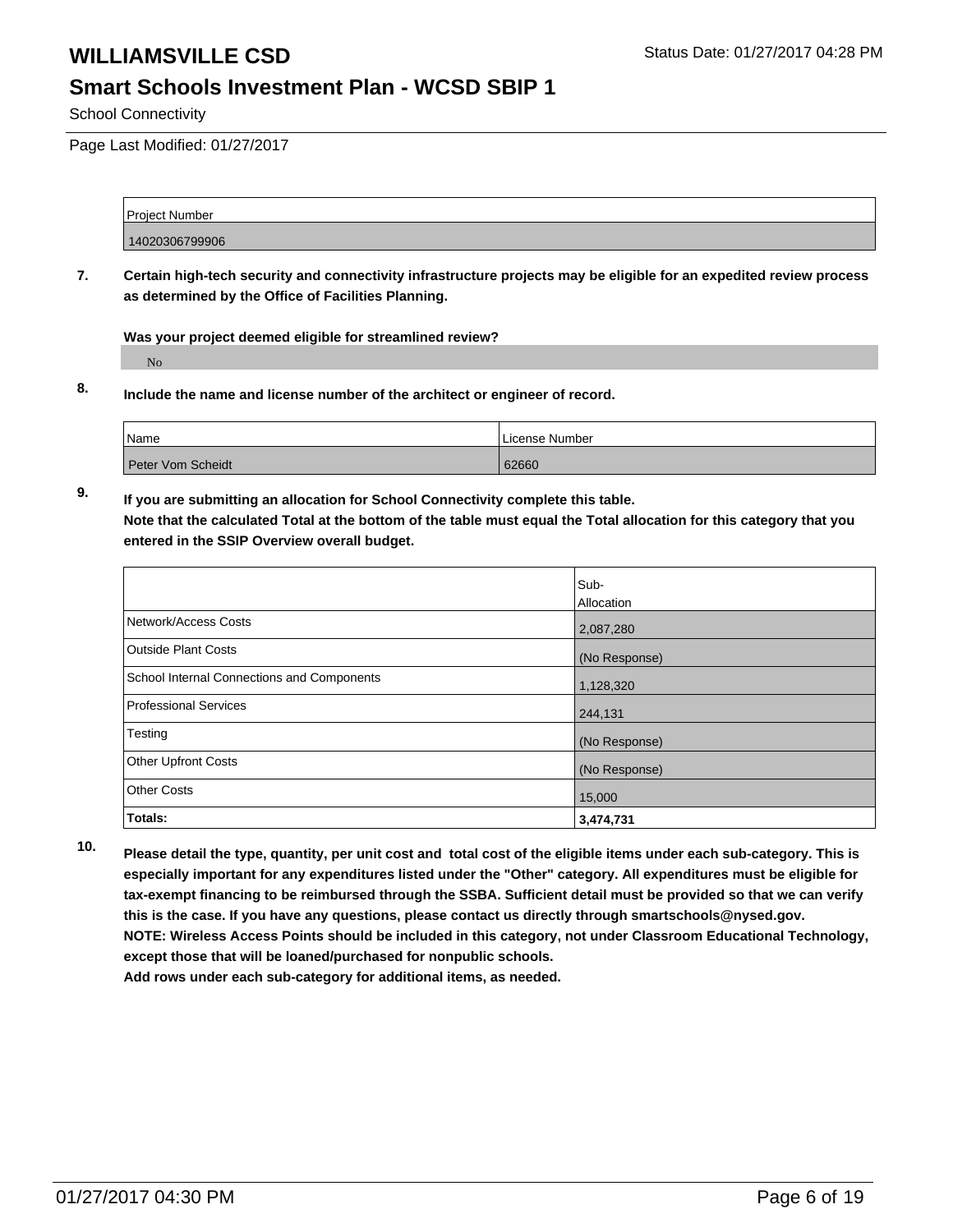### **Smart Schools Investment Plan - WCSD SBIP 1**

School Connectivity

Page Last Modified: 01/27/2017

| <b>Project Number</b> |  |
|-----------------------|--|
|                       |  |
| 14020306799906        |  |

**7. Certain high-tech security and connectivity infrastructure projects may be eligible for an expedited review process as determined by the Office of Facilities Planning.**

**Was your project deemed eligible for streamlined review?**

No

**8. Include the name and license number of the architect or engineer of record.**

| <i>Name</i>       | License Number |
|-------------------|----------------|
| Peter Vom Scheidt | 62660          |

**9. If you are submitting an allocation for School Connectivity complete this table. Note that the calculated Total at the bottom of the table must equal the Total allocation for this category that you entered in the SSIP Overview overall budget.** 

|                                            | Sub-<br>Allocation |
|--------------------------------------------|--------------------|
| Network/Access Costs                       | 2,087,280          |
| <b>Outside Plant Costs</b>                 | (No Response)      |
| School Internal Connections and Components | 1,128,320          |
| <b>Professional Services</b>               | 244,131            |
| Testing                                    | (No Response)      |
| <b>Other Upfront Costs</b>                 | (No Response)      |
| <b>Other Costs</b>                         | 15,000             |
| Totals:                                    | 3,474,731          |

**10. Please detail the type, quantity, per unit cost and total cost of the eligible items under each sub-category. This is especially important for any expenditures listed under the "Other" category. All expenditures must be eligible for tax-exempt financing to be reimbursed through the SSBA. Sufficient detail must be provided so that we can verify this is the case. If you have any questions, please contact us directly through smartschools@nysed.gov. NOTE: Wireless Access Points should be included in this category, not under Classroom Educational Technology, except those that will be loaned/purchased for nonpublic schools. Add rows under each sub-category for additional items, as needed.**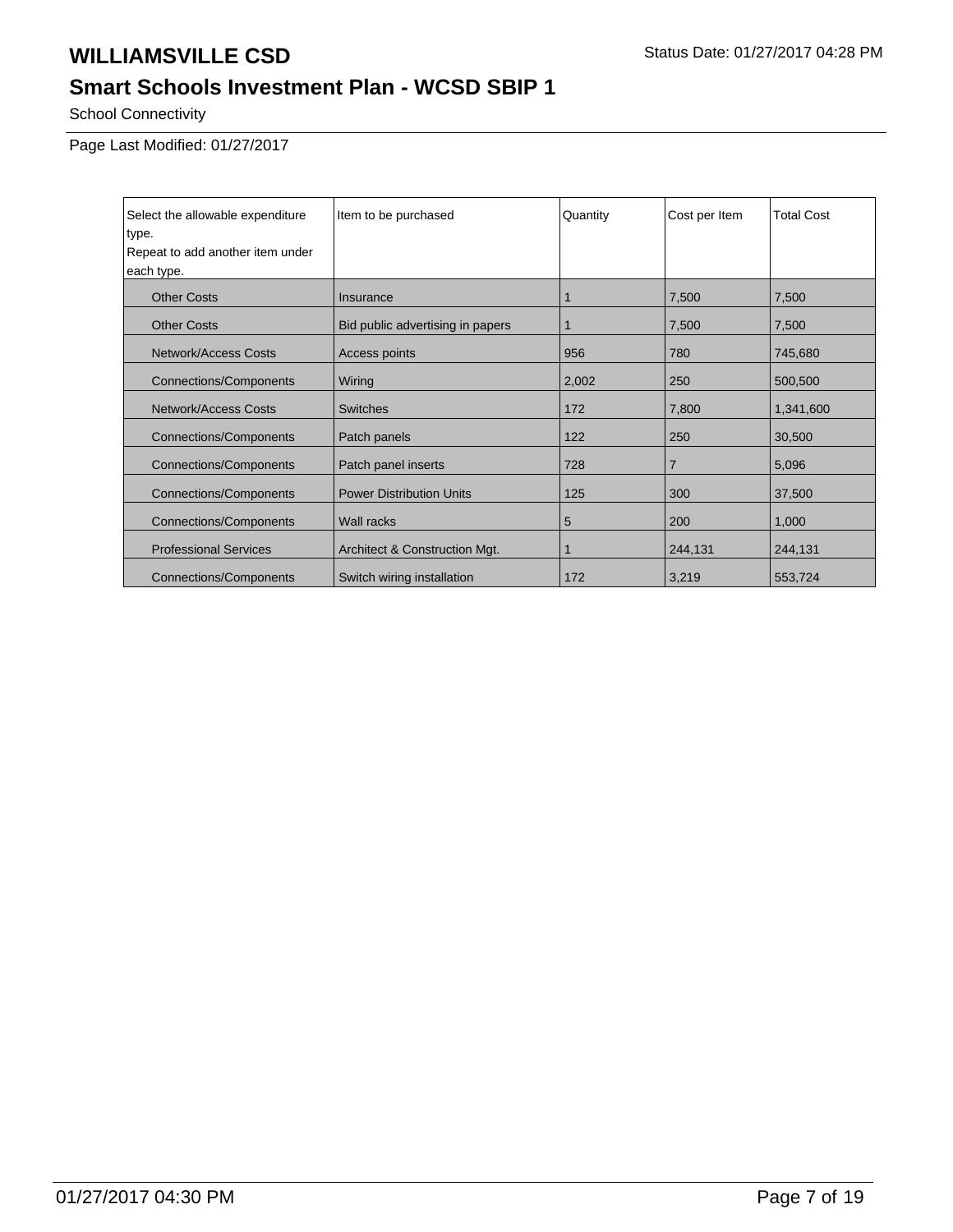# **Smart Schools Investment Plan - WCSD SBIP 1**

School Connectivity

Page Last Modified: 01/27/2017

| Select the allowable expenditure | Item to be purchased             | Quantity | Cost per Item | <b>Total Cost</b> |
|----------------------------------|----------------------------------|----------|---------------|-------------------|
| type.                            |                                  |          |               |                   |
| Repeat to add another item under |                                  |          |               |                   |
| each type.                       |                                  |          |               |                   |
| <b>Other Costs</b>               | Insurance                        |          | 7,500         | 7,500             |
| <b>Other Costs</b>               | Bid public advertising in papers | 1        | 7,500         | 7,500             |
| Network/Access Costs             | Access points                    | 956      | 780           | 745,680           |
| <b>Connections/Components</b>    | Wiring                           | 2,002    | 250           | 500,500           |
| Network/Access Costs             | <b>Switches</b>                  | 172      | 7,800         | 1,341,600         |
| <b>Connections/Components</b>    | Patch panels                     | 122      | 250           | 30,500            |
| <b>Connections/Components</b>    | Patch panel inserts              | 728      | 7             | 5,096             |
| <b>Connections/Components</b>    | <b>Power Distribution Units</b>  | 125      | 300           | 37,500            |
| <b>Connections/Components</b>    | Wall racks                       | 5        | 200           | 1,000             |
| <b>Professional Services</b>     | Architect & Construction Mgt.    | 1        | 244,131       | 244,131           |
| <b>Connections/Components</b>    | Switch wiring installation       | 172      | 3,219         | 553,724           |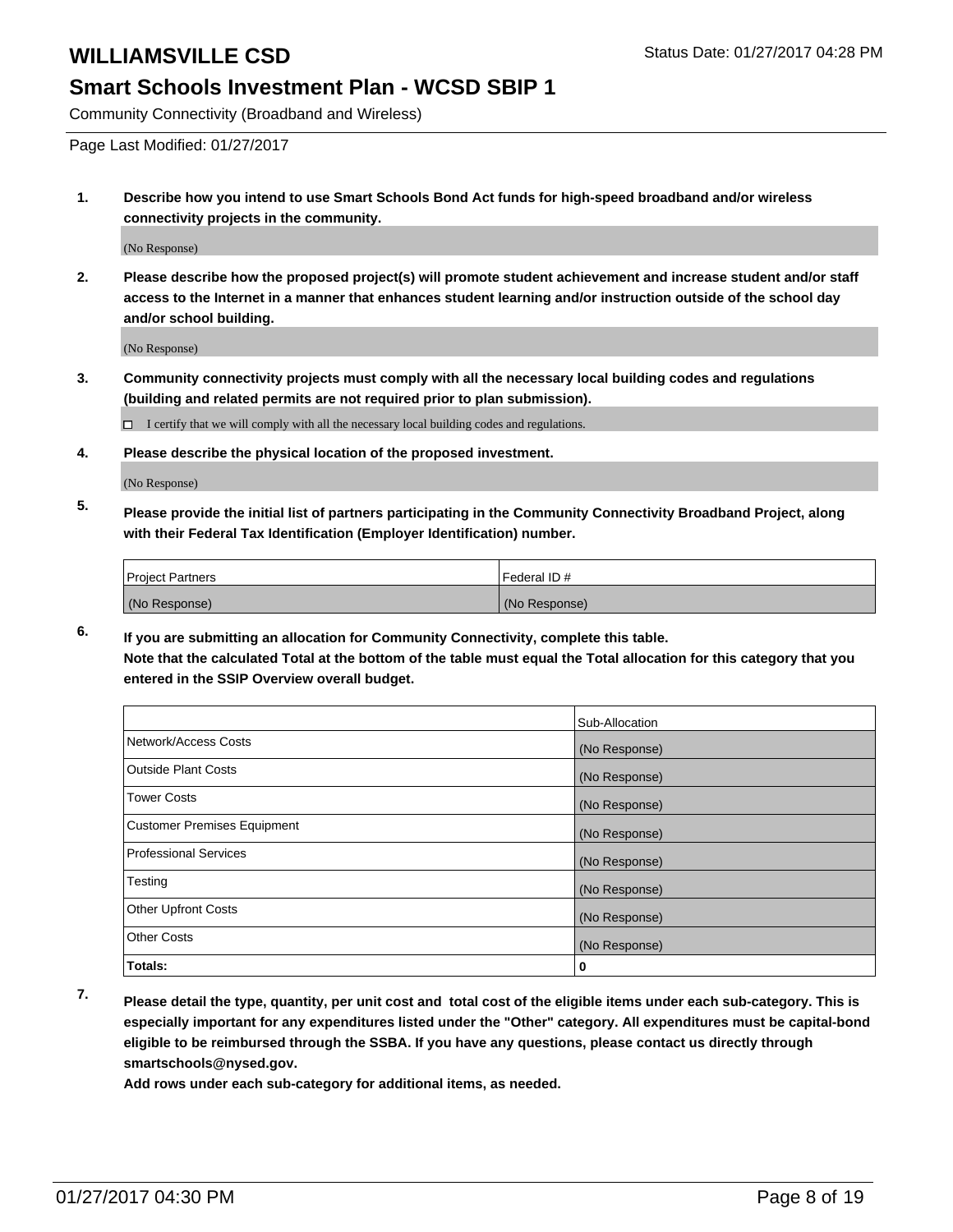## **Smart Schools Investment Plan - WCSD SBIP 1**

Community Connectivity (Broadband and Wireless)

Page Last Modified: 01/27/2017

**1. Describe how you intend to use Smart Schools Bond Act funds for high-speed broadband and/or wireless connectivity projects in the community.**

(No Response)

**2. Please describe how the proposed project(s) will promote student achievement and increase student and/or staff access to the Internet in a manner that enhances student learning and/or instruction outside of the school day and/or school building.**

(No Response)

**3. Community connectivity projects must comply with all the necessary local building codes and regulations (building and related permits are not required prior to plan submission).**

 $\Box$  I certify that we will comply with all the necessary local building codes and regulations.

**4. Please describe the physical location of the proposed investment.**

(No Response)

**5. Please provide the initial list of partners participating in the Community Connectivity Broadband Project, along with their Federal Tax Identification (Employer Identification) number.**

| <b>Project Partners</b> | Federal ID#   |
|-------------------------|---------------|
| (No Response)           | (No Response) |

**6. If you are submitting an allocation for Community Connectivity, complete this table. Note that the calculated Total at the bottom of the table must equal the Total allocation for this category that you entered in the SSIP Overview overall budget.**

|                                    | Sub-Allocation |
|------------------------------------|----------------|
| Network/Access Costs               | (No Response)  |
| <b>Outside Plant Costs</b>         | (No Response)  |
| <b>Tower Costs</b>                 | (No Response)  |
| <b>Customer Premises Equipment</b> | (No Response)  |
| <b>Professional Services</b>       | (No Response)  |
| Testing                            | (No Response)  |
| <b>Other Upfront Costs</b>         | (No Response)  |
| <b>Other Costs</b>                 | (No Response)  |
| Totals:                            | 0              |

**7. Please detail the type, quantity, per unit cost and total cost of the eligible items under each sub-category. This is especially important for any expenditures listed under the "Other" category. All expenditures must be capital-bond eligible to be reimbursed through the SSBA. If you have any questions, please contact us directly through smartschools@nysed.gov.**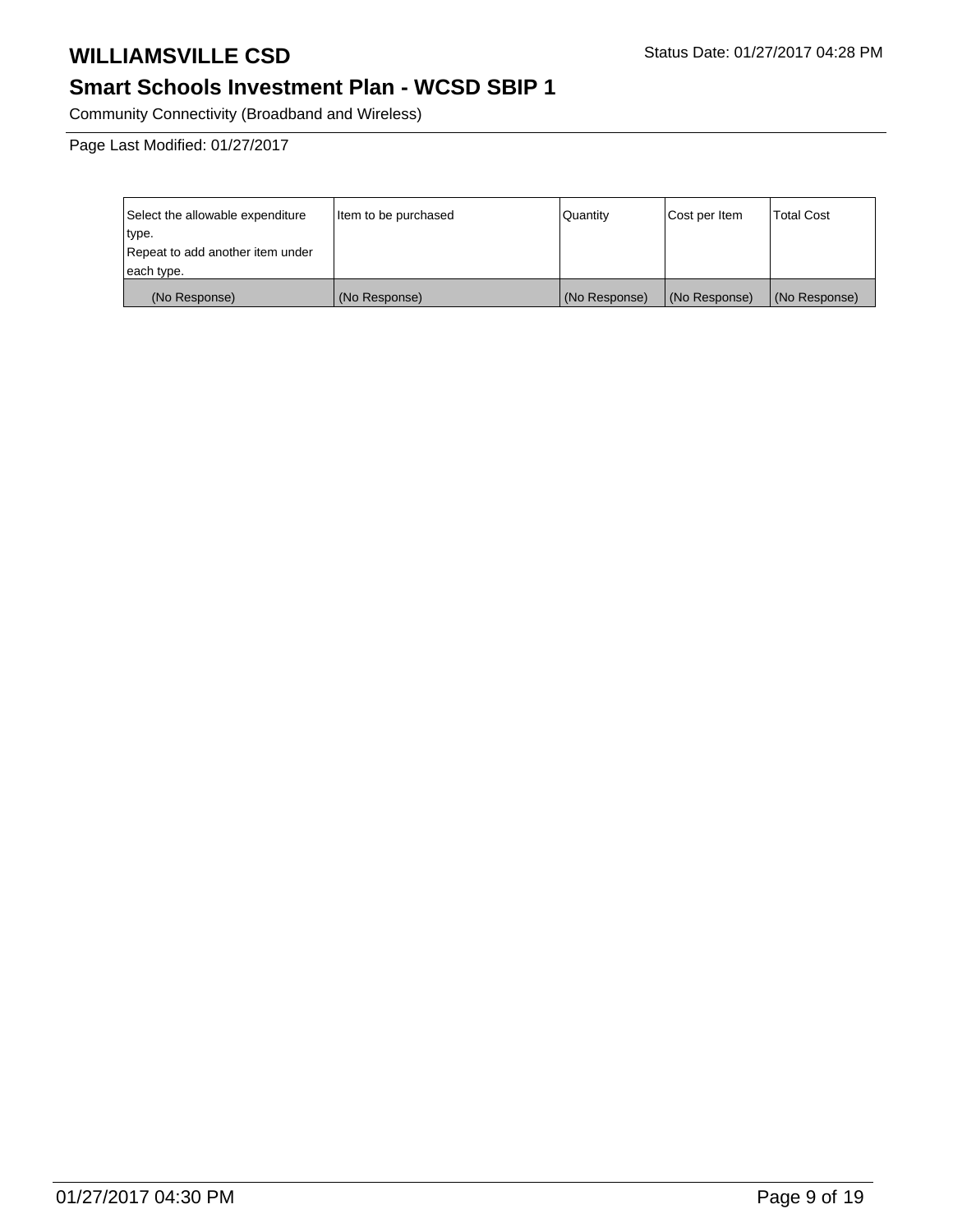# **Smart Schools Investment Plan - WCSD SBIP 1**

Community Connectivity (Broadband and Wireless)

Page Last Modified: 01/27/2017

| Select the allowable expenditure | Item to be purchased | Quantity      | Cost per Item | Total Cost    |
|----------------------------------|----------------------|---------------|---------------|---------------|
| type.                            |                      |               |               |               |
| Repeat to add another item under |                      |               |               |               |
| each type.                       |                      |               |               |               |
| (No Response)                    | (No Response)        | (No Response) | (No Response) | (No Response) |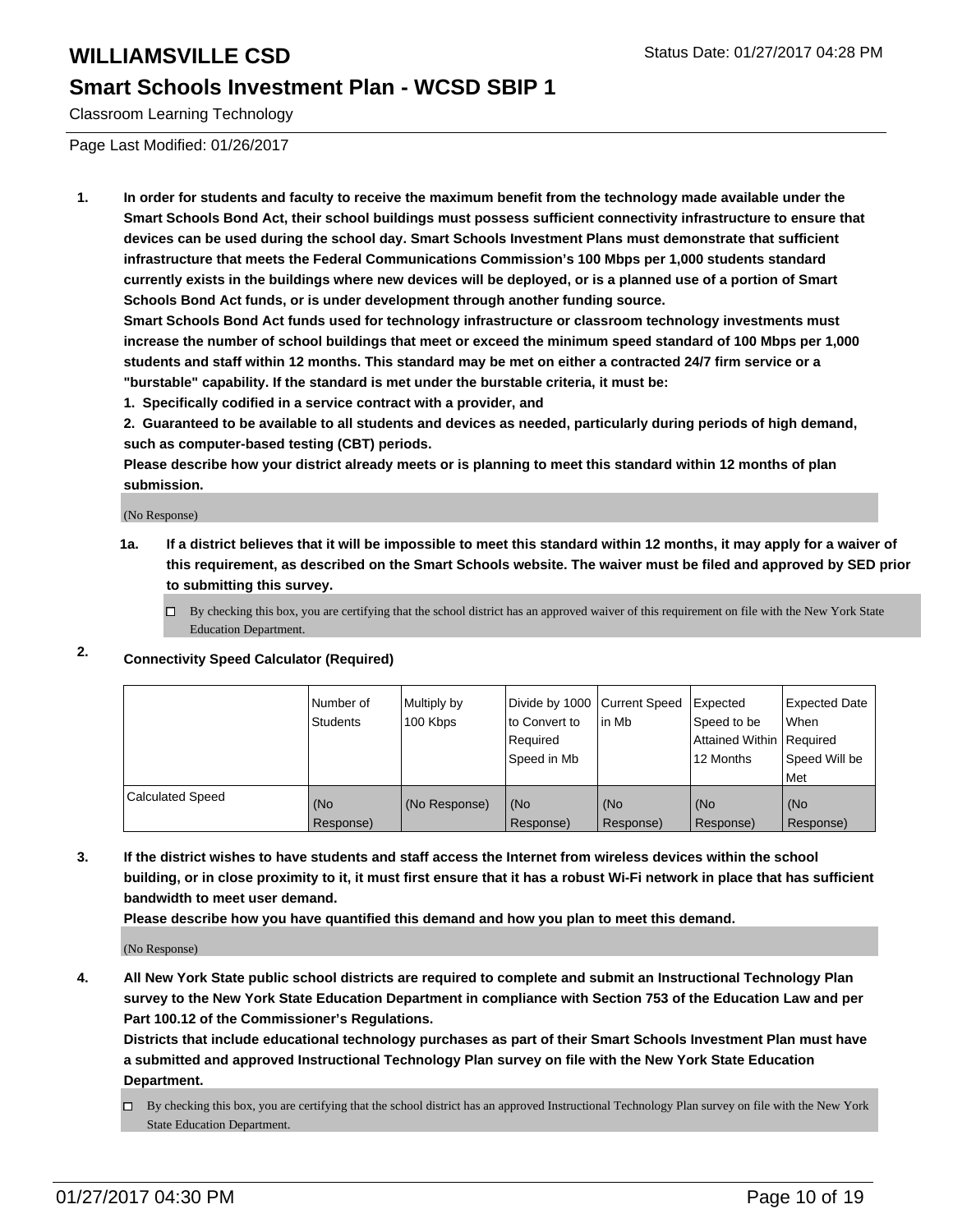## **Smart Schools Investment Plan - WCSD SBIP 1**

Classroom Learning Technology

Page Last Modified: 01/26/2017

**1. In order for students and faculty to receive the maximum benefit from the technology made available under the Smart Schools Bond Act, their school buildings must possess sufficient connectivity infrastructure to ensure that devices can be used during the school day. Smart Schools Investment Plans must demonstrate that sufficient infrastructure that meets the Federal Communications Commission's 100 Mbps per 1,000 students standard currently exists in the buildings where new devices will be deployed, or is a planned use of a portion of Smart Schools Bond Act funds, or is under development through another funding source.**

**Smart Schools Bond Act funds used for technology infrastructure or classroom technology investments must increase the number of school buildings that meet or exceed the minimum speed standard of 100 Mbps per 1,000 students and staff within 12 months. This standard may be met on either a contracted 24/7 firm service or a "burstable" capability. If the standard is met under the burstable criteria, it must be:**

**1. Specifically codified in a service contract with a provider, and**

**2. Guaranteed to be available to all students and devices as needed, particularly during periods of high demand, such as computer-based testing (CBT) periods.**

**Please describe how your district already meets or is planning to meet this standard within 12 months of plan submission.**

(No Response)

- **1a. If a district believes that it will be impossible to meet this standard within 12 months, it may apply for a waiver of this requirement, as described on the Smart Schools website. The waiver must be filed and approved by SED prior to submitting this survey.**
	- $\Box$  By checking this box, you are certifying that the school district has an approved waiver of this requirement on file with the New York State Education Department.
- **2. Connectivity Speed Calculator (Required)**

|                         | l Number of<br>Students | Multiply by<br>100 Kbps | Divide by 1000 Current Speed<br>to Convert to<br>l Reauired<br>l Speed in Mb | lin Mb           | Expected<br>Speed to be<br>Attained Within Required<br>12 Months | Expected Date<br>l When<br>Speed Will be<br>Met |
|-------------------------|-------------------------|-------------------------|------------------------------------------------------------------------------|------------------|------------------------------------------------------------------|-------------------------------------------------|
| <b>Calculated Speed</b> | (No<br>Response)        | (No Response)           | (No<br>Response)                                                             | (No<br>Response) | (No<br>Response)                                                 | (No<br>Response)                                |

**3. If the district wishes to have students and staff access the Internet from wireless devices within the school building, or in close proximity to it, it must first ensure that it has a robust Wi-Fi network in place that has sufficient bandwidth to meet user demand.**

**Please describe how you have quantified this demand and how you plan to meet this demand.**

(No Response)

**4. All New York State public school districts are required to complete and submit an Instructional Technology Plan survey to the New York State Education Department in compliance with Section 753 of the Education Law and per Part 100.12 of the Commissioner's Regulations.**

**Districts that include educational technology purchases as part of their Smart Schools Investment Plan must have a submitted and approved Instructional Technology Plan survey on file with the New York State Education Department.**

By checking this box, you are certifying that the school district has an approved Instructional Technology Plan survey on file with the New York State Education Department.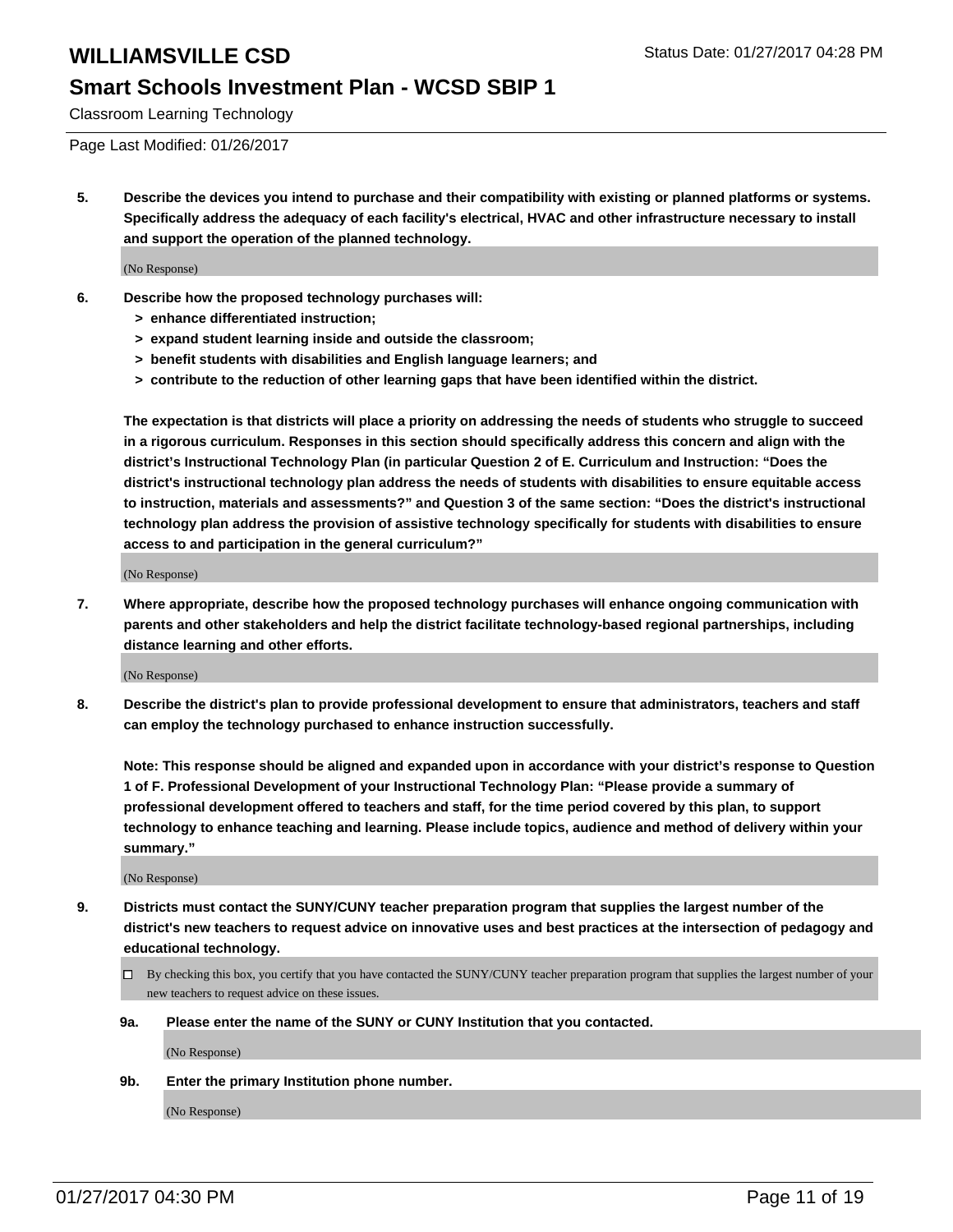## **Smart Schools Investment Plan - WCSD SBIP 1**

Classroom Learning Technology

Page Last Modified: 01/26/2017

**5. Describe the devices you intend to purchase and their compatibility with existing or planned platforms or systems. Specifically address the adequacy of each facility's electrical, HVAC and other infrastructure necessary to install and support the operation of the planned technology.**

(No Response)

- **6. Describe how the proposed technology purchases will:**
	- **> enhance differentiated instruction;**
	- **> expand student learning inside and outside the classroom;**
	- **> benefit students with disabilities and English language learners; and**
	- **> contribute to the reduction of other learning gaps that have been identified within the district.**

**The expectation is that districts will place a priority on addressing the needs of students who struggle to succeed in a rigorous curriculum. Responses in this section should specifically address this concern and align with the district's Instructional Technology Plan (in particular Question 2 of E. Curriculum and Instruction: "Does the district's instructional technology plan address the needs of students with disabilities to ensure equitable access to instruction, materials and assessments?" and Question 3 of the same section: "Does the district's instructional technology plan address the provision of assistive technology specifically for students with disabilities to ensure access to and participation in the general curriculum?"**

(No Response)

**7. Where appropriate, describe how the proposed technology purchases will enhance ongoing communication with parents and other stakeholders and help the district facilitate technology-based regional partnerships, including distance learning and other efforts.**

(No Response)

**8. Describe the district's plan to provide professional development to ensure that administrators, teachers and staff can employ the technology purchased to enhance instruction successfully.**

**Note: This response should be aligned and expanded upon in accordance with your district's response to Question 1 of F. Professional Development of your Instructional Technology Plan: "Please provide a summary of professional development offered to teachers and staff, for the time period covered by this plan, to support technology to enhance teaching and learning. Please include topics, audience and method of delivery within your summary."**

(No Response)

- **9. Districts must contact the SUNY/CUNY teacher preparation program that supplies the largest number of the district's new teachers to request advice on innovative uses and best practices at the intersection of pedagogy and educational technology.**
	- By checking this box, you certify that you have contacted the SUNY/CUNY teacher preparation program that supplies the largest number of your new teachers to request advice on these issues.
	- **9a. Please enter the name of the SUNY or CUNY Institution that you contacted.**

(No Response)

**9b. Enter the primary Institution phone number.**

(No Response)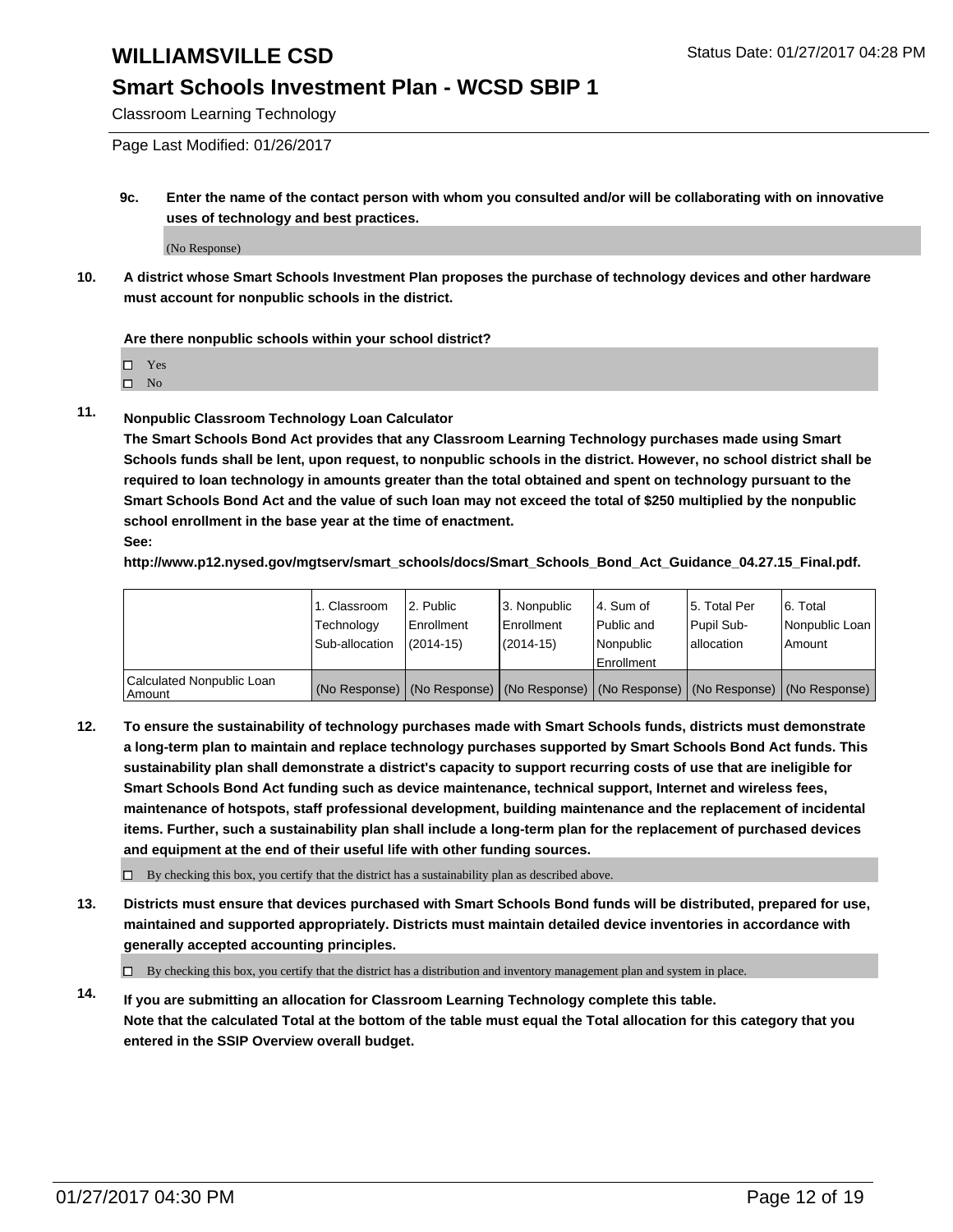### **Smart Schools Investment Plan - WCSD SBIP 1**

Classroom Learning Technology

Page Last Modified: 01/26/2017

**9c. Enter the name of the contact person with whom you consulted and/or will be collaborating with on innovative uses of technology and best practices.**

(No Response)

**10. A district whose Smart Schools Investment Plan proposes the purchase of technology devices and other hardware must account for nonpublic schools in the district.**

**Are there nonpublic schools within your school district?**

 $\Pi$  Yes

 $\square$  No

**11. Nonpublic Classroom Technology Loan Calculator**

**The Smart Schools Bond Act provides that any Classroom Learning Technology purchases made using Smart Schools funds shall be lent, upon request, to nonpublic schools in the district. However, no school district shall be required to loan technology in amounts greater than the total obtained and spent on technology pursuant to the Smart Schools Bond Act and the value of such loan may not exceed the total of \$250 multiplied by the nonpublic school enrollment in the base year at the time of enactment. See:**

**http://www.p12.nysed.gov/mgtserv/smart\_schools/docs/Smart\_Schools\_Bond\_Act\_Guidance\_04.27.15\_Final.pdf.**

|                                       | 1. Classroom<br>Technology<br>Sub-allocation | l 2. Public<br>Enrollment<br>$(2014 - 15)$ | 3. Nonpublic<br>Enrollment<br>$(2014-15)$                                                     | l 4. Sum of<br>l Public and<br>l Nonpublic<br>Enrollment | 5. Total Per<br>Pupil Sub-<br>lallocation | 6. Total<br>Nonpublic Loan<br>Amount |
|---------------------------------------|----------------------------------------------|--------------------------------------------|-----------------------------------------------------------------------------------------------|----------------------------------------------------------|-------------------------------------------|--------------------------------------|
| Calculated Nonpublic Loan<br>  Amount |                                              |                                            | (No Response)   (No Response)   (No Response)   (No Response)   (No Response)   (No Response) |                                                          |                                           |                                      |

**12. To ensure the sustainability of technology purchases made with Smart Schools funds, districts must demonstrate a long-term plan to maintain and replace technology purchases supported by Smart Schools Bond Act funds. This sustainability plan shall demonstrate a district's capacity to support recurring costs of use that are ineligible for Smart Schools Bond Act funding such as device maintenance, technical support, Internet and wireless fees, maintenance of hotspots, staff professional development, building maintenance and the replacement of incidental items. Further, such a sustainability plan shall include a long-term plan for the replacement of purchased devices and equipment at the end of their useful life with other funding sources.**

 $\Box$  By checking this box, you certify that the district has a sustainability plan as described above.

**13. Districts must ensure that devices purchased with Smart Schools Bond funds will be distributed, prepared for use, maintained and supported appropriately. Districts must maintain detailed device inventories in accordance with generally accepted accounting principles.**

 $\Box$  By checking this box, you certify that the district has a distribution and inventory management plan and system in place.

**14. If you are submitting an allocation for Classroom Learning Technology complete this table. Note that the calculated Total at the bottom of the table must equal the Total allocation for this category that you entered in the SSIP Overview overall budget.**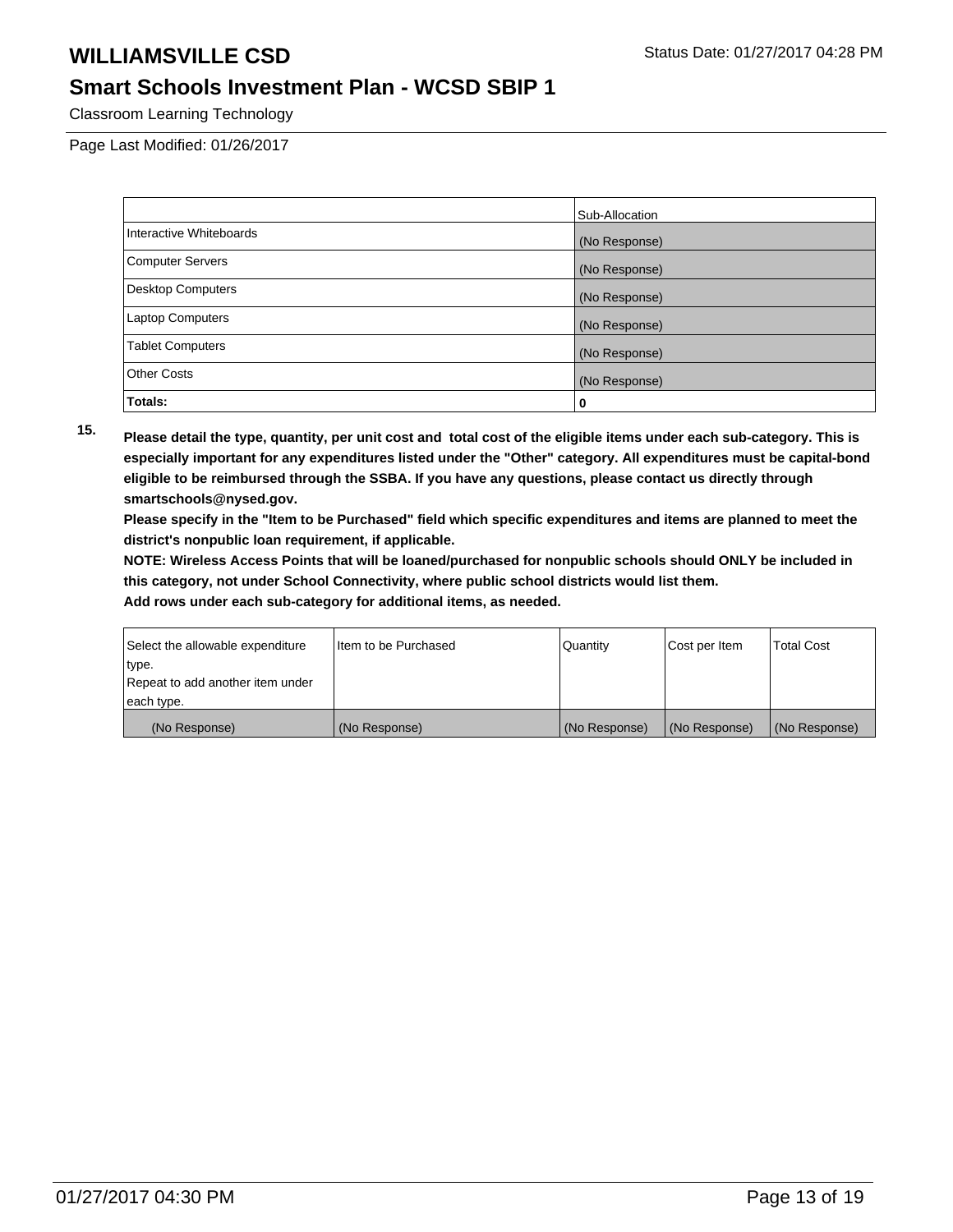## **Smart Schools Investment Plan - WCSD SBIP 1**

Classroom Learning Technology

Page Last Modified: 01/26/2017

|                          | Sub-Allocation |
|--------------------------|----------------|
| Interactive Whiteboards  | (No Response)  |
| <b>Computer Servers</b>  | (No Response)  |
| <b>Desktop Computers</b> | (No Response)  |
| <b>Laptop Computers</b>  | (No Response)  |
| <b>Tablet Computers</b>  | (No Response)  |
| <b>Other Costs</b>       | (No Response)  |
| Totals:                  | 0              |

**15. Please detail the type, quantity, per unit cost and total cost of the eligible items under each sub-category. This is especially important for any expenditures listed under the "Other" category. All expenditures must be capital-bond eligible to be reimbursed through the SSBA. If you have any questions, please contact us directly through smartschools@nysed.gov.**

**Please specify in the "Item to be Purchased" field which specific expenditures and items are planned to meet the district's nonpublic loan requirement, if applicable.**

**NOTE: Wireless Access Points that will be loaned/purchased for nonpublic schools should ONLY be included in this category, not under School Connectivity, where public school districts would list them.**

| Select the allowable expenditure | I Item to be Purchased | Quantity        | Cost per Item | <b>Total Cost</b> |
|----------------------------------|------------------------|-----------------|---------------|-------------------|
| ∣type.                           |                        |                 |               |                   |
| Repeat to add another item under |                        |                 |               |                   |
| each type.                       |                        |                 |               |                   |
| (No Response)                    | (No Response)          | l (No Response) | (No Response) | (No Response)     |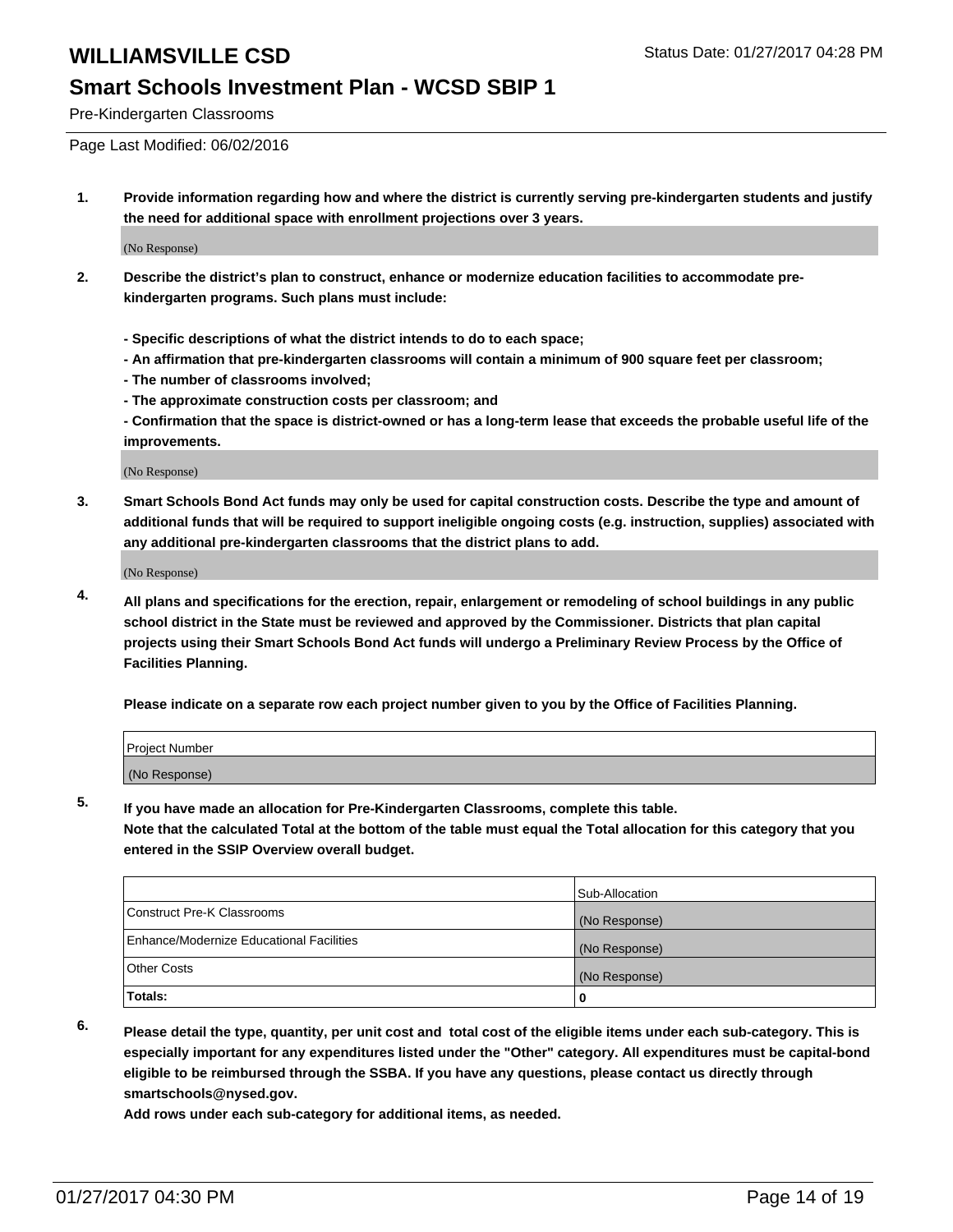## **Smart Schools Investment Plan - WCSD SBIP 1**

Pre-Kindergarten Classrooms

Page Last Modified: 06/02/2016

**1. Provide information regarding how and where the district is currently serving pre-kindergarten students and justify the need for additional space with enrollment projections over 3 years.**

(No Response)

- **2. Describe the district's plan to construct, enhance or modernize education facilities to accommodate prekindergarten programs. Such plans must include:**
	- **Specific descriptions of what the district intends to do to each space;**
	- **An affirmation that pre-kindergarten classrooms will contain a minimum of 900 square feet per classroom;**
	- **The number of classrooms involved;**
	- **The approximate construction costs per classroom; and**
	- **Confirmation that the space is district-owned or has a long-term lease that exceeds the probable useful life of the improvements.**

(No Response)

**3. Smart Schools Bond Act funds may only be used for capital construction costs. Describe the type and amount of additional funds that will be required to support ineligible ongoing costs (e.g. instruction, supplies) associated with any additional pre-kindergarten classrooms that the district plans to add.**

(No Response)

**4. All plans and specifications for the erection, repair, enlargement or remodeling of school buildings in any public school district in the State must be reviewed and approved by the Commissioner. Districts that plan capital projects using their Smart Schools Bond Act funds will undergo a Preliminary Review Process by the Office of Facilities Planning.**

**Please indicate on a separate row each project number given to you by the Office of Facilities Planning.**

| Project Number |  |  |
|----------------|--|--|
| (No Response)  |  |  |

**5. If you have made an allocation for Pre-Kindergarten Classrooms, complete this table.**

**Note that the calculated Total at the bottom of the table must equal the Total allocation for this category that you entered in the SSIP Overview overall budget.**

|                                          | Sub-Allocation |
|------------------------------------------|----------------|
| Construct Pre-K Classrooms               | (No Response)  |
| Enhance/Modernize Educational Facilities | (No Response)  |
| <b>Other Costs</b>                       | (No Response)  |
| Totals:                                  | 0              |

**6. Please detail the type, quantity, per unit cost and total cost of the eligible items under each sub-category. This is especially important for any expenditures listed under the "Other" category. All expenditures must be capital-bond eligible to be reimbursed through the SSBA. If you have any questions, please contact us directly through smartschools@nysed.gov.**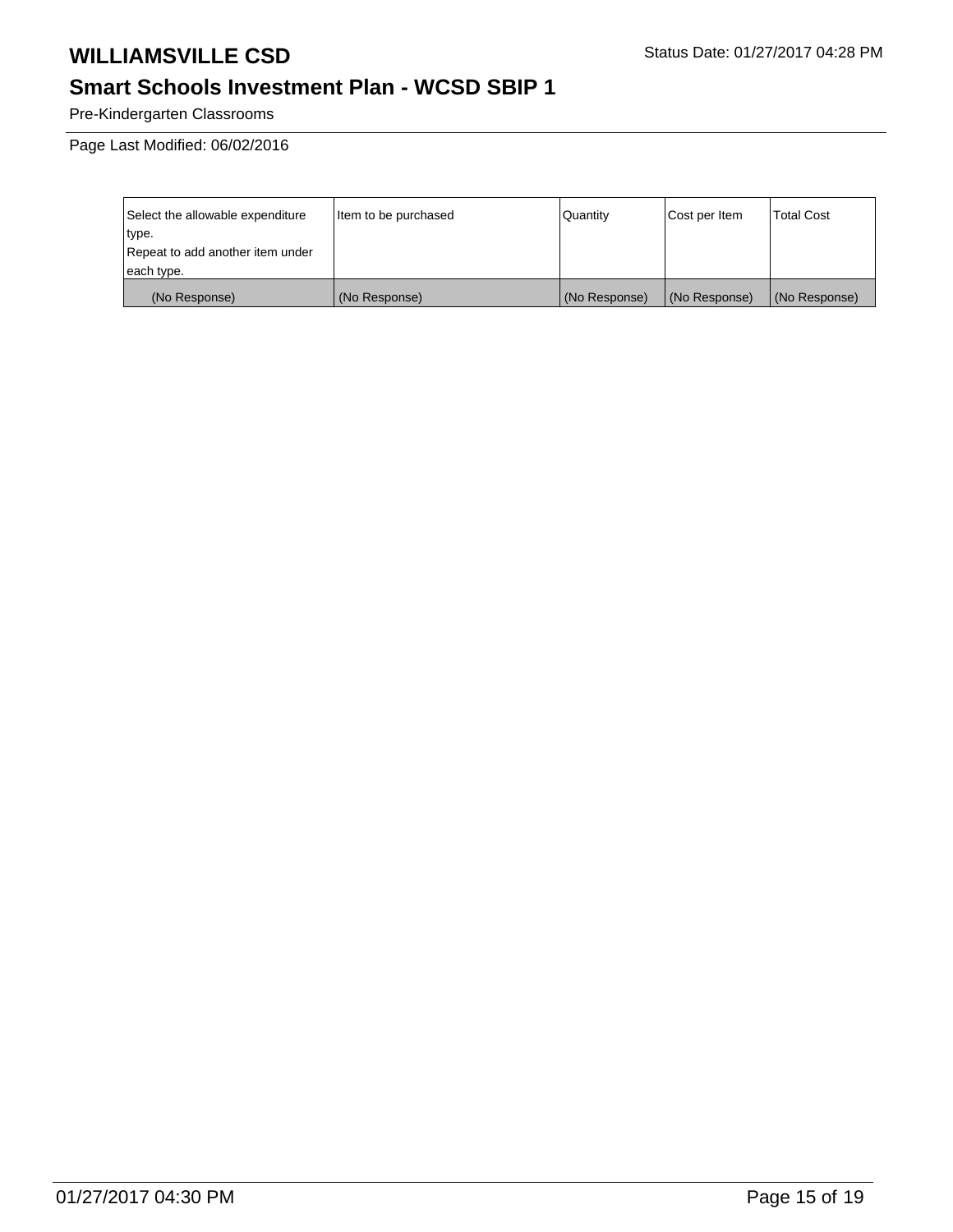# **Smart Schools Investment Plan - WCSD SBIP 1**

Pre-Kindergarten Classrooms

Page Last Modified: 06/02/2016

| Select the allowable expenditure | Item to be purchased | Quantity      | Cost per Item | Total Cost    |
|----------------------------------|----------------------|---------------|---------------|---------------|
| type.                            |                      |               |               |               |
| Repeat to add another item under |                      |               |               |               |
| each type.                       |                      |               |               |               |
| (No Response)                    | (No Response)        | (No Response) | (No Response) | (No Response) |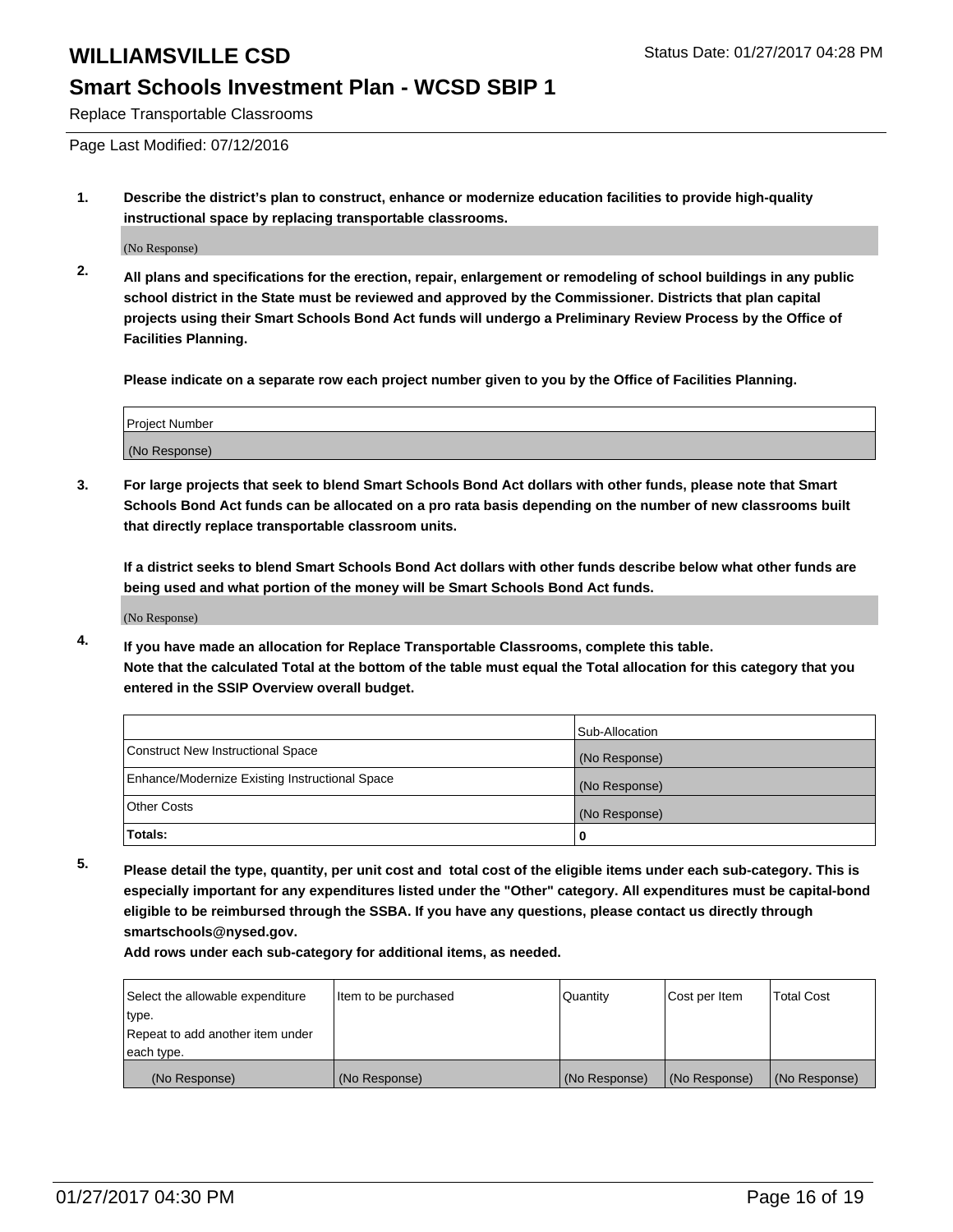## **Smart Schools Investment Plan - WCSD SBIP 1**

Replace Transportable Classrooms

Page Last Modified: 07/12/2016

**1. Describe the district's plan to construct, enhance or modernize education facilities to provide high-quality instructional space by replacing transportable classrooms.**

(No Response)

**2. All plans and specifications for the erection, repair, enlargement or remodeling of school buildings in any public school district in the State must be reviewed and approved by the Commissioner. Districts that plan capital projects using their Smart Schools Bond Act funds will undergo a Preliminary Review Process by the Office of Facilities Planning.**

**Please indicate on a separate row each project number given to you by the Office of Facilities Planning.**

| <b>Project Number</b> |  |
|-----------------------|--|
| (No Response)         |  |

**3. For large projects that seek to blend Smart Schools Bond Act dollars with other funds, please note that Smart Schools Bond Act funds can be allocated on a pro rata basis depending on the number of new classrooms built that directly replace transportable classroom units.**

**If a district seeks to blend Smart Schools Bond Act dollars with other funds describe below what other funds are being used and what portion of the money will be Smart Schools Bond Act funds.**

(No Response)

**4. If you have made an allocation for Replace Transportable Classrooms, complete this table. Note that the calculated Total at the bottom of the table must equal the Total allocation for this category that you entered in the SSIP Overview overall budget.**

|                                                | Sub-Allocation |
|------------------------------------------------|----------------|
| Construct New Instructional Space              | (No Response)  |
| Enhance/Modernize Existing Instructional Space | (No Response)  |
| <b>Other Costs</b>                             | (No Response)  |
| Totals:                                        |                |

**5. Please detail the type, quantity, per unit cost and total cost of the eligible items under each sub-category. This is especially important for any expenditures listed under the "Other" category. All expenditures must be capital-bond eligible to be reimbursed through the SSBA. If you have any questions, please contact us directly through smartschools@nysed.gov.**

| Select the allowable expenditure | Item to be purchased | Quantity      | Cost per Item | <b>Total Cost</b> |
|----------------------------------|----------------------|---------------|---------------|-------------------|
| type.                            |                      |               |               |                   |
| Repeat to add another item under |                      |               |               |                   |
| each type.                       |                      |               |               |                   |
| (No Response)                    | (No Response)        | (No Response) | (No Response) | (No Response)     |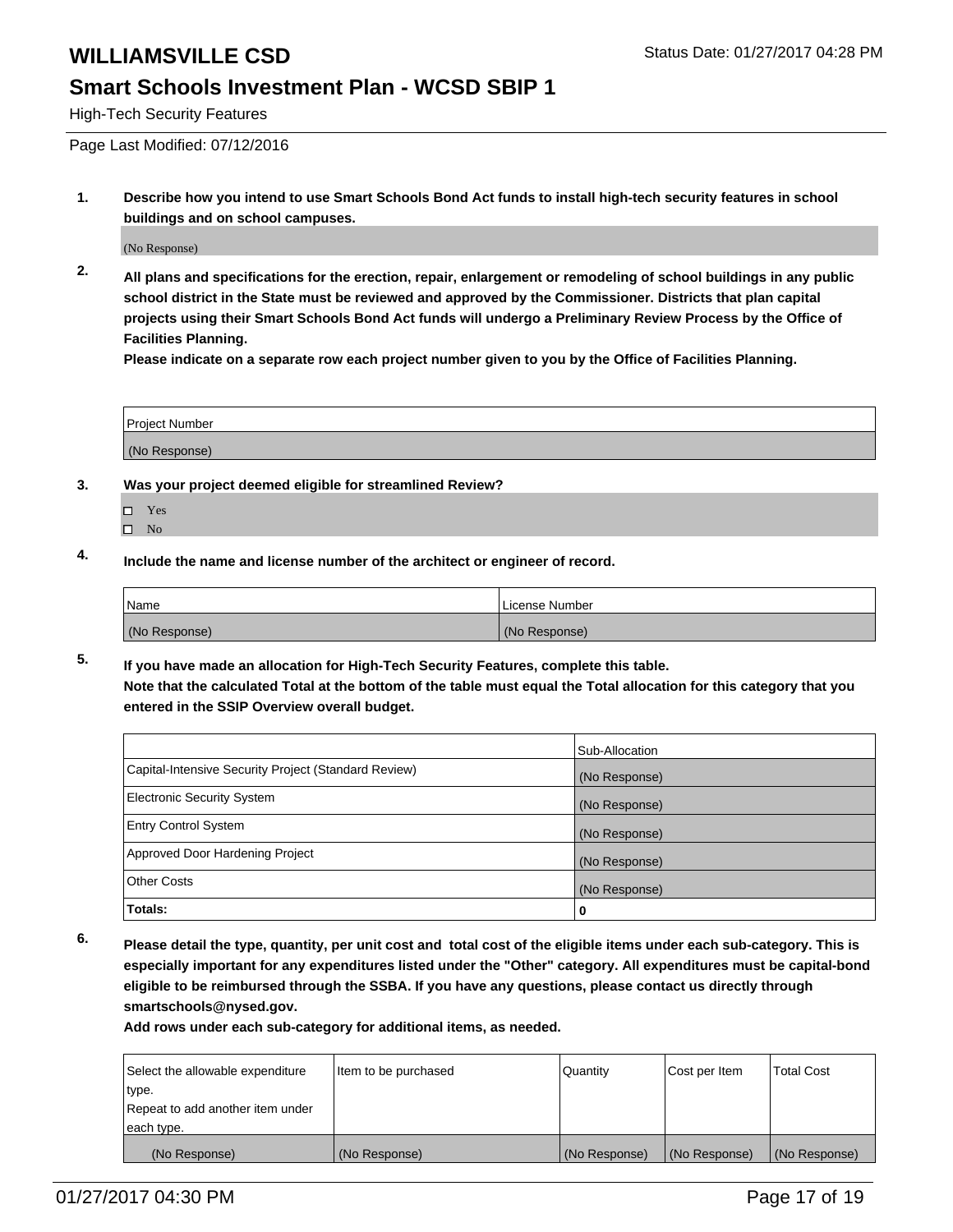### **Smart Schools Investment Plan - WCSD SBIP 1**

High-Tech Security Features

Page Last Modified: 07/12/2016

**1. Describe how you intend to use Smart Schools Bond Act funds to install high-tech security features in school buildings and on school campuses.**

(No Response)

**2. All plans and specifications for the erection, repair, enlargement or remodeling of school buildings in any public school district in the State must be reviewed and approved by the Commissioner. Districts that plan capital projects using their Smart Schools Bond Act funds will undergo a Preliminary Review Process by the Office of Facilities Planning.** 

**Please indicate on a separate row each project number given to you by the Office of Facilities Planning.**

| <b>Project Number</b> |  |
|-----------------------|--|
| (No Response)         |  |

- **3. Was your project deemed eligible for streamlined Review?**
	- Yes
	- $\square$  No
- **4. Include the name and license number of the architect or engineer of record.**

| 'Name         | License Number |
|---------------|----------------|
| (No Response) | (No Response)  |

**5. If you have made an allocation for High-Tech Security Features, complete this table. Note that the calculated Total at the bottom of the table must equal the Total allocation for this category that you entered in the SSIP Overview overall budget.**

|                                                      | Sub-Allocation |
|------------------------------------------------------|----------------|
| Capital-Intensive Security Project (Standard Review) | (No Response)  |
| <b>Electronic Security System</b>                    | (No Response)  |
| <b>Entry Control System</b>                          | (No Response)  |
| Approved Door Hardening Project                      | (No Response)  |
| <b>Other Costs</b>                                   | (No Response)  |
| Totals:                                              | 0              |

**6. Please detail the type, quantity, per unit cost and total cost of the eligible items under each sub-category. This is especially important for any expenditures listed under the "Other" category. All expenditures must be capital-bond eligible to be reimbursed through the SSBA. If you have any questions, please contact us directly through smartschools@nysed.gov.**

| Select the allowable expenditure | Item to be purchased | <b>Quantity</b> | Cost per Item | <b>Total Cost</b> |
|----------------------------------|----------------------|-----------------|---------------|-------------------|
| type.                            |                      |                 |               |                   |
| Repeat to add another item under |                      |                 |               |                   |
| each type.                       |                      |                 |               |                   |
| (No Response)                    | (No Response)        | (No Response)   | (No Response) | (No Response)     |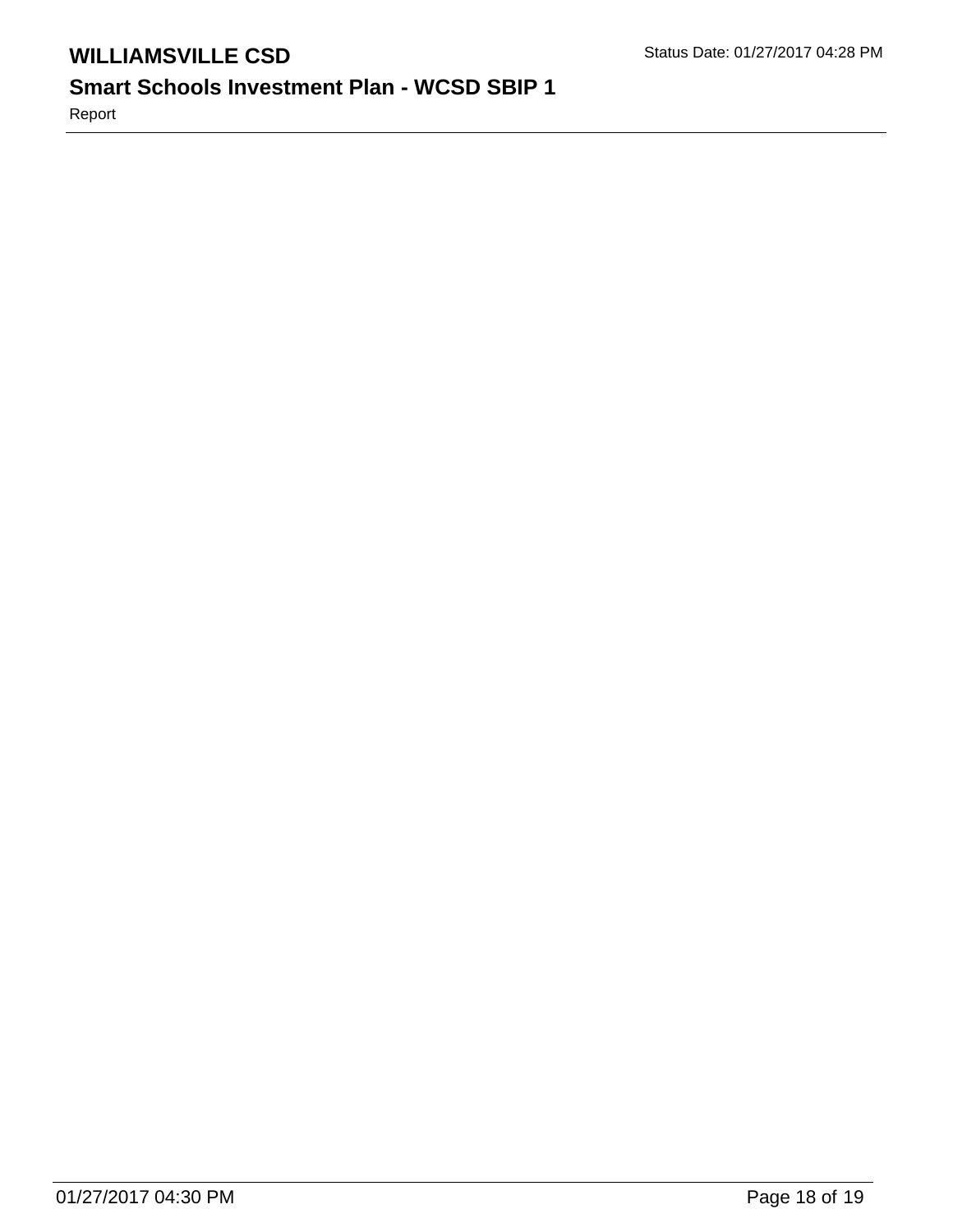# **Smart Schools Investment Plan - WCSD SBIP 1**

Report